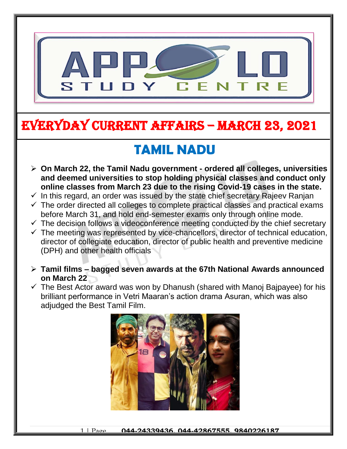

# EVERYDAY CURRENT AFFAIRS – MARCH 23, 2021

-

#### **TAMIL NADU**  $\ddot{\ }$

- **On March 22, the Tamil Nadu government - ordered all colleges, universities and deemed universities to stop holding physical classes and conduct only online classes from March 23 due to the rising Covid-19 cases in the state.**
- $\checkmark$  In this regard, an order was issued by the state chief secretary Rajeev Ranjan
- $\checkmark$  The order directed all colleges to complete practical classes and practical exams before March 31, and hold end-semester exams only through online mode.
- $\checkmark$  The decision follows a videoconference meeting conducted by the chief secretary
- $\checkmark$  The meeting was represented by vice-chancellors, director of technical education, director of collegiate education, director of public health and preventive medicine (DPH) and other health officials
- **Tamil films – bagged seven awards at the 67th National Awards announced on March 22**
- $\checkmark$  The Best Actor award was won by Dhanush (shared with Manoj Bajpayee) for his brilliant performance in Vetri Maaran's action drama Asuran, which was also adjudged the Best Tamil Film.

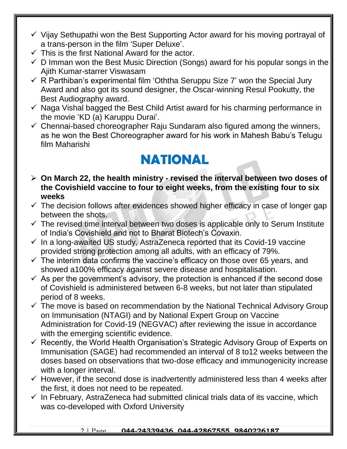- $\checkmark$  Vijay Sethupathi won the Best Supporting Actor award for his moving portrayal of a trans-person in the film 'Super Deluxe'.
- $\checkmark$  This is the first National Award for the actor.
- $\checkmark$  D Imman won the Best Music Direction (Songs) award for his popular songs in the Ajith Kumar-starrer Viswasam
- $\checkmark$  R Parthiban's experimental film 'Oththa Seruppu Size 7' won the Special Jury Award and also got its sound designer, the Oscar-winning Resul Pookutty, the Best Audiography award.
- $\checkmark$  Naga Vishal bagged the Best Child Artist award for his charming performance in the movie 'KD (a) Karuppu Durai'.
- $\checkmark$  Chennai-based choreographer Raju Sundaram also figured among the winners, as he won the Best Choreographer award for his work in Mahesh Babu's Telugu film Maharishi

# **NATIONAL**

- **On March 22, the health ministry - revised the interval between two doses of the Covishield vaccine to four to eight weeks, from the existing four to six weeks**
- $\checkmark$  The decision follows after evidences showed higher efficacy in case of longer gap between the shots.
- $\checkmark$  The revised time interval between two doses is applicable only to Serum Institute of India's Covishield and not to Bharat Biotech's Covaxin.
- $\checkmark$  In a long-awaited US study, AstraZeneca reported that its Covid-19 vaccine provided strong protection among all adults, with an efficacy of 79%.
- $\checkmark$  The interim data confirms the vaccine's efficacy on those over 65 years, and showed a100% efficacy against severe disease and hospitalisation.
- $\checkmark$  As per the government's advisory, the protection is enhanced if the second dose of Covishield is administered between 6-8 weeks, but not later than stipulated period of 8 weeks.
- $\checkmark$  The move is based on recommendation by the National Technical Advisory Group on Immunisation (NTAGI) and by National Expert Group on Vaccine Administration for Covid-19 (NEGVAC) after reviewing the issue in accordance with the emerging scientific evidence.
- $\checkmark$  Recently, the World Health Organisation's Strategic Advisory Group of Experts on Immunisation (SAGE) had recommended an interval of 8 to12 weeks between the doses based on observations that two-dose efficacy and immunogenicity increase with a longer interval.
- $\checkmark$  However, if the second dose is inadvertently administered less than 4 weeks after the first, it does not need to be repeated.
- $\checkmark$  In February, AstraZeneca had submitted clinical trials data of its vaccine, which was co-developed with Oxford University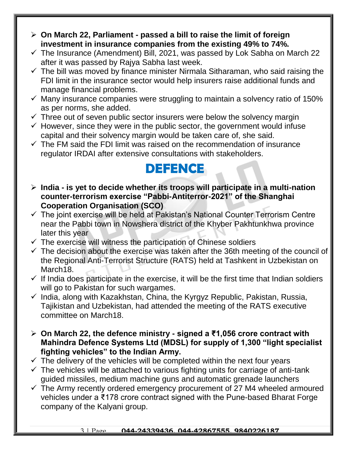- **On March 22, Parliament - passed a bill to raise the limit of foreign investment in insurance companies from the existing 49% to 74%.**
- $\checkmark$  The Insurance (Amendment) Bill, 2021, was passed by Lok Sabha on March 22 after it was passed by Rajya Sabha last week.
- $\checkmark$  The bill was moved by finance minister Nirmala Sitharaman, who said raising the FDI limit in the insurance sector would help insurers raise additional funds and manage financial problems.
- $\checkmark$  Many insurance companies were struggling to maintain a solvency ratio of 150% as per norms, she added.
- $\checkmark$  Three out of seven public sector insurers were below the solvency margin
- $\checkmark$  However, since they were in the public sector, the government would infuse capital and their solvency margin would be taken care of, she said.
- $\checkmark$  The FM said the FDI limit was raised on the recommendation of insurance regulator IRDAI after extensive consultations with stakeholders.

## **DEFENCE**

- **India - is yet to decide whether its troops will participate in a multi-nation counter-terrorism exercise "Pabbi-Antiterror-2021" of the Shanghai Cooperation Organisation (SCO)**
- $\checkmark$  The joint exercise will be held at Pakistan's National Counter Terrorism Centre near the Pabbi town in Nowshera district of the Khyber Pakhtunkhwa province later this year
- $\checkmark$  The exercise will witness the participation of Chinese soldiers
- $\checkmark$  The decision about the exercise was taken after the 36th meeting of the council of the Regional Anti-Terrorist Structure (RATS) held at Tashkent in Uzbekistan on March<sub>18</sub>.
- $\checkmark$  If India does participate in the exercise, it will be the first time that Indian soldiers will go to Pakistan for such wargames.
- $\checkmark$  India, along with Kazakhstan, China, the Kyrgyz Republic, Pakistan, Russia, Tajikistan and Uzbekistan, had attended the meeting of the RATS executive committee on March18.
- **On March 22, the defence ministry - signed a ₹1,056 crore contract with Mahindra Defence Systems Ltd (MDSL) for supply of 1,300 "light specialist fighting vehicles" to the Indian Army.**
- $\checkmark$  The delivery of the vehicles will be completed within the next four years
- $\checkmark$  The vehicles will be attached to various fighting units for carriage of anti-tank guided missiles, medium machine guns and automatic grenade launchers
- $\checkmark$  The Army recently ordered emergency procurement of 27 M4 wheeled armoured vehicles under a ₹178 crore contract signed with the Pune-based Bharat Forge company of the Kalyani group.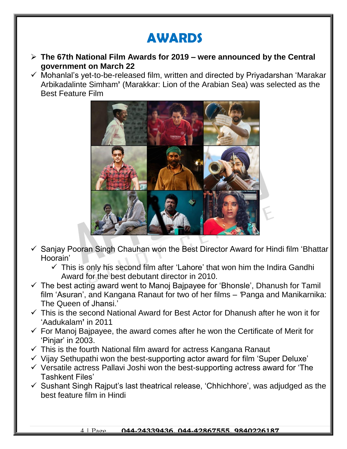## **AWARDS**

- **The 67th National Film Awards for 2019 – were announced by the Central government on March 22**
- $\checkmark$  Mohanlal's yet-to-be-released film, written and directed by Priyadarshan 'Marakar Arbikadalinte Simham**'** (Marakkar: Lion of the Arabian Sea) was selected as the Best Feature Film



- Sanjay Pooran Singh Chauhan won the Best Director Award for Hindi film 'Bhattar Hoorain'
	- $\checkmark$  This is only his second film after 'Lahore' that won him the Indira Gandhi Award for the best debutant director in 2010.
- $\checkmark$  The best acting award went to Manoj Bajpayee for 'Bhonsle', Dhanush for Tamil film 'Asuran', and Kangana Ranaut for two of her films – *'*Panga and Manikarnika: The Queen of Jhansi.'
- $\checkmark$  This is the second National Award for Best Actor for Dhanush after he won it for 'Aadukalam**'** in 2011
- $\checkmark$  For Manoj Bajpayee, the award comes after he won the Certificate of Merit for 'Pinjar' in 2003.
- $\checkmark$  This is the fourth National film award for actress Kangana Ranaut
- $\checkmark$  Vijay Sethupathi won the best-supporting actor award for film 'Super Deluxe'
- $\checkmark$  Versatile actress Pallavi Joshi won the best-supporting actress award for 'The Tashkent Files'
- $\checkmark$  Sushant Singh Rajput's last theatrical release, 'Chhichhore', was adjudged as the best feature film in Hindi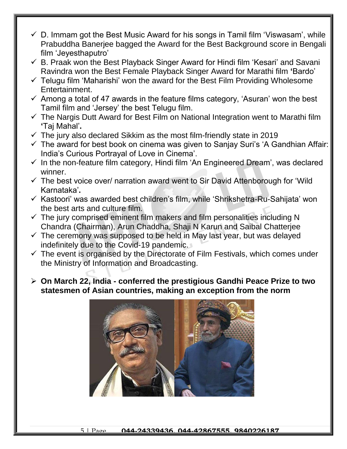- $\checkmark$  D. Immam got the Best Music Award for his songs in Tamil film 'Viswasam', while Prabuddha Banerjee bagged the Award for the Best Background score in Bengali film 'Jeyesthaputro'
- $\checkmark$  B. Praak won the Best Playback Singer Award for Hindi film 'Kesari' and Savani Ravindra won the Best Female Playback Singer Award for Marathi film **'**Bardo'
- $\checkmark$  Telugu film 'Maharishi' won the award for the Best Film Providing Wholesome Entertainment.
- $\checkmark$  Among a total of 47 awards in the feature films category, 'Asuran' won the best Tamil film and 'Jersey' the best Telugu film.
- $\checkmark$  The Nargis Dutt Award for Best Film on National Integration went to Marathi film **'**Taj Mahal'**.**
- $\checkmark$  The jury also declared Sikkim as the most film-friendly state in 2019
- $\checkmark$  The award for best book on cinema was given to Sanjay Suri's 'A Gandhian Affair: India's Curious Portrayal of Love in Cinema'.
- $\checkmark$  In the non-feature film category, Hindi film 'An Engineered Dream', was declared winner.
- $\checkmark$  The best voice over/ narration award went to Sir David Attenborough for 'Wild Karnataka'**.**
- $\checkmark$  Kastoori' was awarded best children's film, while 'Shrikshetra-Ru-Sahijata' won the best arts and culture film.
- $\checkmark$  The jury comprised eminent film makers and film personalities including N Chandra (Chairman), Arun Chaddha, Shaji N Karun and Saibal Chatterjee
- $\checkmark$  The ceremony was supposed to be held in May last year, but was delayed indefinitely due to the Covid-19 pandemic.
- $\checkmark$  The event is organised by the Directorate of Film Festivals, which comes under the Ministry of Information and Broadcasting.
- **On March 22, India - conferred the prestigious Gandhi Peace Prize to two statesmen of Asian countries, making an exception from the norm**

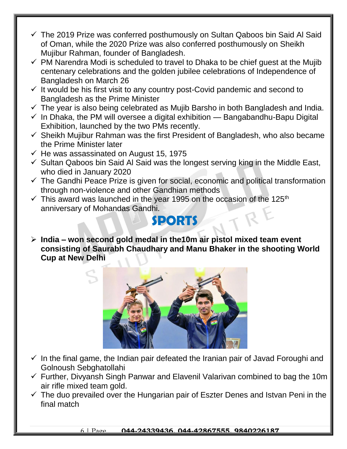- $\checkmark$  The 2019 Prize was conferred posthumously on Sultan Qaboos bin Said Al Said of Oman, while the 2020 Prize was also conferred posthumously on Sheikh Mujibur Rahman, founder of Bangladesh.
- $\checkmark$  PM Narendra Modi is scheduled to travel to Dhaka to be chief guest at the Mujib centenary celebrations and the golden jubilee celebrations of Independence of Bangladesh on March 26
- $\checkmark$  It would be his first visit to any country post-Covid pandemic and second to Bangladesh as the Prime Minister
- $\checkmark$  The year is also being celebrated as Mujib Barsho in both Bangladesh and India.
- $\checkmark$  In Dhaka, the PM will oversee a digital exhibition Bangabandhu-Bapu Digital Exhibition, launched by the two PMs recently.
- $\checkmark$  Sheikh Mujibur Rahman was the first President of Bangladesh, who also became the Prime Minister later
- $\checkmark$  He was assassinated on August 15, 1975
- $\checkmark$  Sultan Qaboos bin Said Al Said was the longest serving king in the Middle East, who died in January 2020
- $\checkmark$  The Gandhi Peace Prize is given for social, economic and political transformation through non-violence and other Gandhian methods
- $\checkmark$  This award was launched in the year 1995 on the occasion of the 125<sup>th</sup> anniversary of Mohandas Gandhi.

### **SPORTS**

 **India – won second gold medal in the10m air pistol mixed team event consisting of Saurabh Chaudhary and Manu Bhaker in the shooting World Cup at New Delhi**



- $\checkmark$  In the final game, the Indian pair defeated the Iranian pair of Javad Foroughi and Golnoush Sebghatollahi
- $\checkmark$  Further, Divyansh Singh Panwar and Elavenil Valarivan combined to bag the 10m air rifle mixed team gold.
- $\checkmark$  The duo prevailed over the Hungarian pair of Eszter Denes and Istvan Peni in the final match